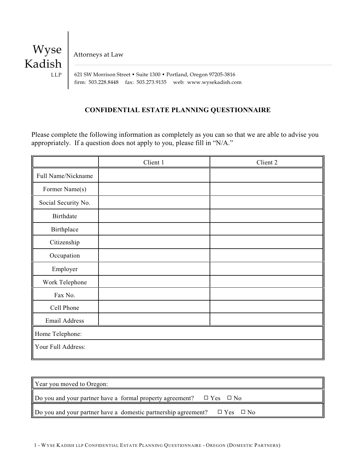

Attorneys at Law

 621 SW Morrison Street • Suite 1300 • Portland, Oregon 97205-3816 firm: 503.228.8448 fax: 503.273.9135 web: www.wysekadish.com

# **CONFIDENTIAL ESTATE PLANNING QUESTIONNAIRE**

Please complete the following information as completely as you can so that we are able to advise you appropriately. If a question does not apply to you, please fill in "N/A."

|                     | Client 1 | Client 2 |
|---------------------|----------|----------|
| Full Name/Nickname  |          |          |
| Former Name(s)      |          |          |
| Social Security No. |          |          |
| <b>Birthdate</b>    |          |          |
| Birthplace          |          |          |
| Citizenship         |          |          |
| Occupation          |          |          |
| Employer            |          |          |
| Work Telephone      |          |          |
| Fax No.             |          |          |
| Cell Phone          |          |          |
| Email Address       |          |          |
| Home Telephone:     |          |          |
| Your Full Address:  |          |          |

| Year you moved to Oregon:                                                             |
|---------------------------------------------------------------------------------------|
| $\Box$ Do you and your partner have a formal property agreement? $\Box$ Yes $\Box$ No |
| Do you and your partner have a domestic partnership agreement? $□$ Yes $□$ No         |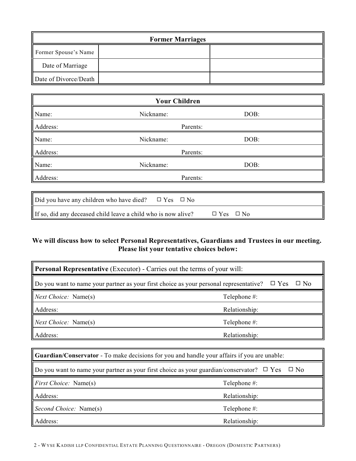| <b>Former Marriages</b> |  |  |
|-------------------------|--|--|
| Former Spouse's Name    |  |  |
| Date of Marriage        |  |  |
| Date of Divorce/Death   |  |  |

| <b>Your Children</b> |                                                                  |      |  |
|----------------------|------------------------------------------------------------------|------|--|
| Name:                | Nickname:                                                        | DOB: |  |
| Address:             | Parents:                                                         |      |  |
| Name:                | Nickname:                                                        | DOB: |  |
| Address:             | Parents:                                                         |      |  |
| Name:                | Nickname:                                                        | DOB: |  |
| Address:             | Parents:                                                         |      |  |
|                      |                                                                  |      |  |
|                      | Did you have any children who have died?<br>$\Box$ Yes $\Box$ No |      |  |

# **We will discuss how to select Personal Representatives, Guardians and Trustees in our meeting.**

If so, did any deceased child leave a child who is now alive?  $\Box$  Yes  $\Box$  No

**Please list your tentative choices below:**

| <b>Personal Representative</b> (Executor) - Carries out the terms of your will:                                         |               |  |  |
|-------------------------------------------------------------------------------------------------------------------------|---------------|--|--|
| $\square$ Yes<br>$\square$ No<br>Do you want to name your partner as your first choice as your personal representative? |               |  |  |
| Next Choice: Name(s)                                                                                                    | Telephone #:  |  |  |
| Address:                                                                                                                | Relationship: |  |  |
| <i>Next Choice:</i> Name(s)                                                                                             | Telephone #:  |  |  |
| Address:                                                                                                                | Relationship: |  |  |
|                                                                                                                         |               |  |  |
| <b>Guardian/Conservator</b> - To make decisions for you and handle your affairs if you are unable:                      |               |  |  |
| Do you want to name your partner as your first choice as your guardian/conservator? $\Box$ Yes                          | $\square$ No  |  |  |
| <i>First Choice:</i> Name(s)                                                                                            | Telephone #:  |  |  |
| Address:                                                                                                                | Relationship: |  |  |
| Second Choice: Name(s)                                                                                                  | Telephone #:  |  |  |
| Address:                                                                                                                | Relationship: |  |  |

2 - WYSE KADISH LLP CONFIDENTIAL ESTATE PLANNING QUESTIONNAIRE - OREGON (DOMESTIC PARTNERS)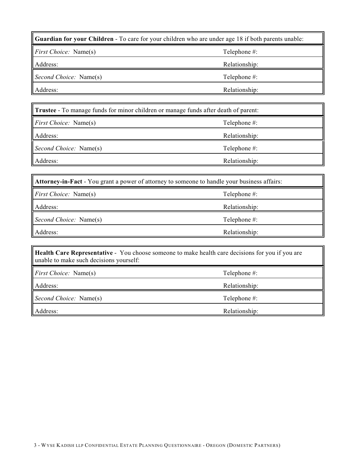| <b>Guardian for your Children</b> - To care for your children who are under age 18 if both parents unable: |                  |  |
|------------------------------------------------------------------------------------------------------------|------------------|--|
| <i>First Choice:</i> Name(s)                                                                               | Telephone $#$ :  |  |
| Address:                                                                                                   | Relationship:    |  |
| Second Choice: Name(s)                                                                                     | Telephone $\#$ : |  |
| Address:                                                                                                   | Relationship:    |  |

| <b>Trustee</b> - To manage funds for minor children or manage funds after death of parent: |               |  |  |
|--------------------------------------------------------------------------------------------|---------------|--|--|
| <i>First Choice:</i> Name(s)                                                               | Telephone #:  |  |  |
| Address:                                                                                   | Relationship: |  |  |
| Second Choice: Name(s)                                                                     | Telephone #:  |  |  |
| Address:                                                                                   | Relationship: |  |  |

| <b>Attorney-in-Fact</b> - You grant a power of attorney to someone to handle your business affairs: |               |  |
|-----------------------------------------------------------------------------------------------------|---------------|--|
| <i>First Choice:</i> Name(s)                                                                        | Telephone #:  |  |
| Address:                                                                                            | Relationship: |  |
| Second Choice: Name(s)                                                                              | Telephone #:  |  |
| <b>Address:</b>                                                                                     | Relationship: |  |

**Health Care Representative** - You choose someone to make health care decisions for you if you are unable to make such decisions yourself: *First Choice:* Name(s) Telephone #: Address: Relationship: Relationship: *Second Choice:* Name(s) Telephone #: Address: Relationship: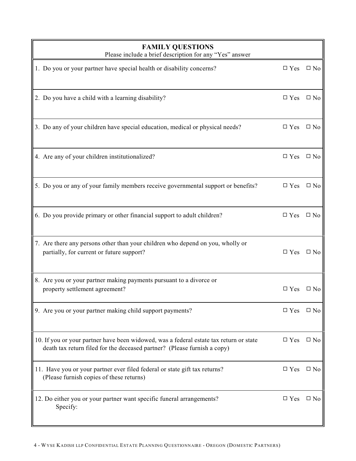| <b>FAMILY QUESTIONS</b><br>Please include a brief description for any "Yes" answer                                                                                 |                      |              |  |
|--------------------------------------------------------------------------------------------------------------------------------------------------------------------|----------------------|--------------|--|
| 1. Do you or your partner have special health or disability concerns?                                                                                              | $\square$ Yes        | $\square$ No |  |
| 2. Do you have a child with a learning disability?                                                                                                                 | $\Box$ Yes           | $\square$ No |  |
| 3. Do any of your children have special education, medical or physical needs?                                                                                      | $\square$ Yes        | $\square$ No |  |
| 4. Are any of your children institutionalized?                                                                                                                     | $\Box$ Yes $\Box$ No |              |  |
| 5. Do you or any of your family members receive governmental support or benefits?                                                                                  | $\square$ Yes        | $\square$ No |  |
| 6. Do you provide primary or other financial support to adult children?                                                                                            | $\square$ Yes        | $\square$ No |  |
| 7. Are there any persons other than your children who depend on you, wholly or<br>partially, for current or future support?                                        | $\square$ Yes        | $\square$ No |  |
| 8. Are you or your partner making payments pursuant to a divorce or<br>property settlement agreement?                                                              | $\square$ Yes        | $\square$ No |  |
| 9. Are you or your partner making child support payments?                                                                                                          | $\square$ Yes        | $\square$ No |  |
| 10. If you or your partner have been widowed, was a federal estate tax return or state<br>death tax return filed for the deceased partner? (Please furnish a copy) | $\square$ Yes        | $\square$ No |  |
| 11. Have you or your partner ever filed federal or state gift tax returns?<br>(Please furnish copies of these returns)                                             | $\Box$ Yes $\Box$ No |              |  |
| 12. Do either you or your partner want specific funeral arrangements?<br>Specify:                                                                                  | $\square$ Yes        | $\square$ No |  |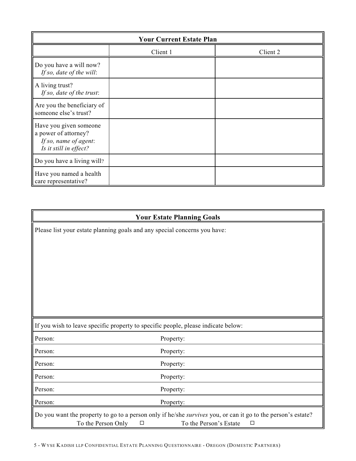| <b>Your Current Estate Plan</b>                                                                   |          |          |  |  |
|---------------------------------------------------------------------------------------------------|----------|----------|--|--|
|                                                                                                   | Client 1 | Client 2 |  |  |
| Do you have a will now?<br>If so, date of the will:                                               |          |          |  |  |
| A living trust?<br>If so, date of the trust:                                                      |          |          |  |  |
| Are you the beneficiary of<br>someone else's trust?                                               |          |          |  |  |
| Have you given someone<br>a power of attorney?<br>If so, name of agent:<br>Is it still in effect? |          |          |  |  |
| Do you have a living will?                                                                        |          |          |  |  |
| Have you named a health<br>care representative?                                                   |          |          |  |  |

# **Your Estate Planning Goals**

Please list your estate planning goals and any special concerns you have:

If you wish to leave specific property to specific people, please indicate below:

| Person:            | Property:                                                                                                    |  |  |
|--------------------|--------------------------------------------------------------------------------------------------------------|--|--|
| Person:            | Property:                                                                                                    |  |  |
| Person:            | Property:                                                                                                    |  |  |
| Person:            | Property:                                                                                                    |  |  |
| Person:            | Property:                                                                                                    |  |  |
| Person:            | Property:                                                                                                    |  |  |
|                    | Do you want the property to go to a person only if he/she survives you, or can it go to the person's estate? |  |  |
| To the Person Only | To the Person's Estate<br>□<br>$\Box$                                                                        |  |  |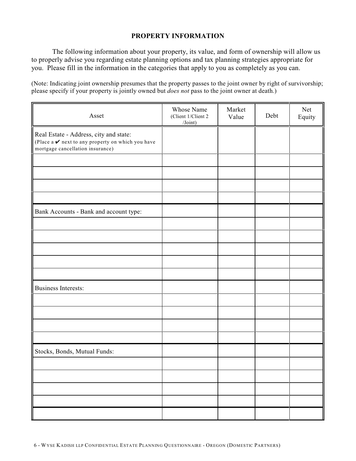### **PROPERTY INFORMATION**

The following information about your property, its value, and form of ownership will allow us to properly advise you regarding estate planning options and tax planning strategies appropriate for you. Please fill in the information in the categories that apply to you as completely as you can.

(Note: Indicating joint ownership presumes that the property passes to the joint owner by right of survivorship; please specify if your property is jointly owned but *does not* pass to the joint owner at death.)

| Asset                                                                                                                                            | Whose Name<br>(Client 1/Client 2<br>/Joint) | Market<br>Value | Debt | Net<br>Equity |
|--------------------------------------------------------------------------------------------------------------------------------------------------|---------------------------------------------|-----------------|------|---------------|
| Real Estate - Address, city and state:<br>(Place a $\boldsymbol{\nu}$ next to any property on which you have<br>mortgage cancellation insurance) |                                             |                 |      |               |
|                                                                                                                                                  |                                             |                 |      |               |
|                                                                                                                                                  |                                             |                 |      |               |
|                                                                                                                                                  |                                             |                 |      |               |
| Bank Accounts - Bank and account type:                                                                                                           |                                             |                 |      |               |
|                                                                                                                                                  |                                             |                 |      |               |
|                                                                                                                                                  |                                             |                 |      |               |
|                                                                                                                                                  |                                             |                 |      |               |
|                                                                                                                                                  |                                             |                 |      |               |
|                                                                                                                                                  |                                             |                 |      |               |
| <b>Business Interests:</b>                                                                                                                       |                                             |                 |      |               |
|                                                                                                                                                  |                                             |                 |      |               |
|                                                                                                                                                  |                                             |                 |      |               |
|                                                                                                                                                  |                                             |                 |      |               |
|                                                                                                                                                  |                                             |                 |      |               |
| Stocks, Bonds, Mutual Funds:                                                                                                                     |                                             |                 |      |               |
|                                                                                                                                                  |                                             |                 |      |               |
|                                                                                                                                                  |                                             |                 |      |               |
|                                                                                                                                                  |                                             |                 |      |               |
|                                                                                                                                                  |                                             |                 |      |               |
|                                                                                                                                                  |                                             |                 |      |               |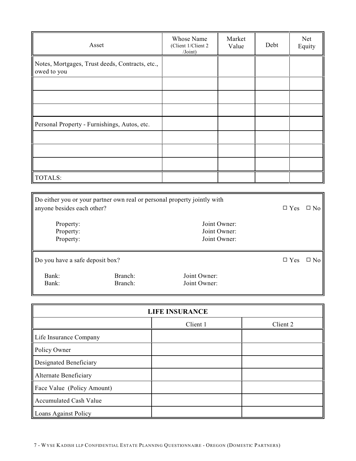| Asset                                                          | <b>Whose Name</b><br>(Client 1/Client 2<br>$\sqrt{Joint}$ | Market<br>Value | Debt | Net<br>Equity |
|----------------------------------------------------------------|-----------------------------------------------------------|-----------------|------|---------------|
| Notes, Mortgages, Trust deeds, Contracts, etc.,<br>owed to you |                                                           |                 |      |               |
|                                                                |                                                           |                 |      |               |
|                                                                |                                                           |                 |      |               |
|                                                                |                                                           |                 |      |               |
| Personal Property - Furnishings, Autos, etc.                   |                                                           |                 |      |               |
|                                                                |                                                           |                 |      |               |
|                                                                |                                                           |                 |      |               |
|                                                                |                                                           |                 |      |               |
| TOTALS:                                                        |                                                           |                 |      |               |

|                                 |                            |                                                                          | $\Box$ No     |
|---------------------------------|----------------------------|--------------------------------------------------------------------------|---------------|
|                                 | Joint Owner:               |                                                                          |               |
|                                 | Joint Owner:               |                                                                          |               |
|                                 | Joint Owner:               |                                                                          |               |
|                                 |                            |                                                                          |               |
| Do you have a safe deposit box? |                            | $\Box$ Yes                                                               | $\Box$ No     |
| Branch:                         | Joint Owner:               |                                                                          |               |
| Branch:                         | Joint Owner:               |                                                                          |               |
|                                 | anyone besides each other? | Do either you or your partner own real or personal property jointly with | $\square$ Yes |

 $\blacksquare$ 

F

| <b>LIFE INSURANCE</b>         |          |          |  |
|-------------------------------|----------|----------|--|
|                               | Client 1 | Client 2 |  |
| Life Insurance Company        |          |          |  |
| Policy Owner                  |          |          |  |
| Designated Beneficiary        |          |          |  |
| Alternate Beneficiary         |          |          |  |
| Face Value (Policy Amount)    |          |          |  |
| <b>Accumulated Cash Value</b> |          |          |  |
| Loans Against Policy          |          |          |  |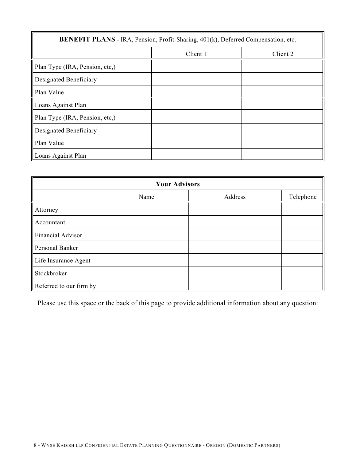| <b>BENEFIT PLANS - IRA, Pension, Profit-Sharing, 401(k), Deferred Compensation, etc.</b> |          |          |  |
|------------------------------------------------------------------------------------------|----------|----------|--|
|                                                                                          | Client 1 | Client 2 |  |
| Plan Type (IRA, Pension, etc.)                                                           |          |          |  |
| Designated Beneficiary                                                                   |          |          |  |
| Plan Value                                                                               |          |          |  |
| Loans Against Plan                                                                       |          |          |  |
| Plan Type (IRA, Pension, etc,)                                                           |          |          |  |
| Designated Beneficiary                                                                   |          |          |  |
| Plan Value                                                                               |          |          |  |
| Loans Against Plan                                                                       |          |          |  |

| <b>Your Advisors</b>    |      |         |           |  |
|-------------------------|------|---------|-----------|--|
|                         | Name | Address | Telephone |  |
| Attorney                |      |         |           |  |
| Accountant              |      |         |           |  |
| Financial Advisor       |      |         |           |  |
| Personal Banker         |      |         |           |  |
| Life Insurance Agent    |      |         |           |  |
| Stockbroker             |      |         |           |  |
| Referred to our firm by |      |         |           |  |

Please use this space or the back of this page to provide additional information about any question: